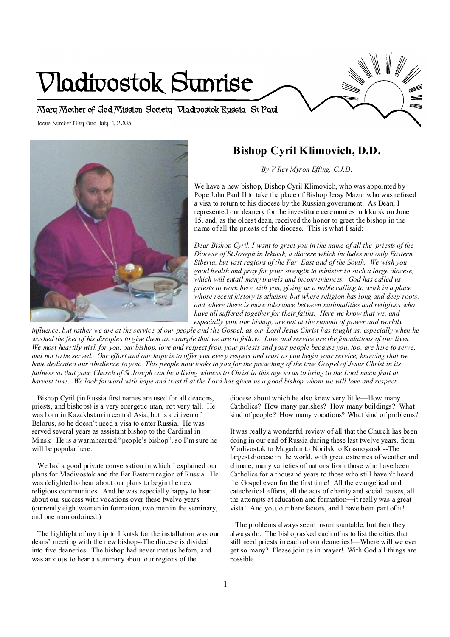# **Vladivostok Sunrise**

**Mary Mother of God Mission Society Vladivostok Russia St Paul** 

Issue Number Fifty Two July 1, 2003 **Minnesota** 



# **Bishop Cyril Klimovich, D.D.**

*By V Rev Myron Effing, C.J.D.* 

We have a new bishop, Bishop Cyril Klimovich, who was appointed by Pope John Paul II to take the place of Bishop Jersy Mazur who was refused a visa to return to his diocese by the Russian government. As Dean, I represented our deanery for the investiture ceremonies in Irkutsk on June 15, and, as the oldest dean, received the honor to greet the bishop in the name of all the priests of the diocese. This is what I said:

*Dear Bishop Cyril, I want to greet you in the name of all the priests of the Diocese of St Joseph in Irkutsk, a diocese which includes not only Eastern Siberia, but vast regions of the Far East and of the South. We wish you good health and pray for your strength to minister to such a large diocese, which will entail many travels and inconveniences. God has called us priests to work here with you, giving us a noble calling to work in a place whose recent history is atheism, but where religion has long and deep roots, and where there is more tolerance between nationalities and religions who have all suffered together for their faiths. Here we know that we, and especially you, our bishop, are not at the summit of power and worldly* 

influence, but rather we are at the service of our people and the Gospel, as our Lord Jesus Christ has taught us, especially when he washed the feet of his disciples to give them an example that we are to follow. Love and service are the foundations of our lives. We most heartily wish for you, our bishop, love and respect from your priests and your people because you, too, are here to serve, and not to be served. Our effort and our hope is to offer you every respect and trust as you begin your service, knowing that we have dedicated our obedience to you. This people now looks to you for the preaching of the true Gospel of Jesus Christ in its fullness so that your Church of St Joseph can be a living witness to Christ in this age so as to bring to the Lord much fruit at harvest time. We look forward with hope and trust that the Lord has given us a good bishop whom we will love and respect.

Bishop Cyril (in Russia first names are used for all deacons, priests, and bishops) is a very energetic man, not very tall. He was born in Kazakhstan in central Asia, but is a citizen of Belorus, so he doesn't need a visa to enter Russia. He was served several years as assistant bishop to the Cardinal in Minsk. He is a warmhearted "people's bishop", so I'm sure he will be popular here.

We had a good private conversation in which I explained our plans for Vladivostok and the Far Eastern region of Russia. He was delighted to hear about our plans to begin the new religious communities. And he was especially happy to hear about our success with vocations over these twelve years (currently eight women in formation, two men in the seminary, and one man ordained.)

The highlight of my trip to Irkutsk for the installation was our deans' meeting with the new bishop--The diocese is divided into five deaneries. The bishop had never met us before, and was anxious to hear a summary about our regions of the

diocese about which he also knew very little—How many Catholics? How many parishes? How many buildings? What kind of people? How many vocations? What kind of problems?

It was really a wonderful review of all that the Church has been doing in our end of Russia during these last twelve years, from Vladivostok to Magadan to Norilsk to Krasnoyarsk!--The largest diocese in the world, with great extremes of weather and climate, many varieties of nations from those who have been Catholics for a thousand years to those who still haven't heard the Gospel even for the first time! All the evangelical and catechetical efforts, all the acts of charity and social causes, all the attempts at education and formation—it really was a great vista! And you, our benefactors, and I have been part of it!

The problems always seem insurmountable, but then they always do. The bishop asked each of us to list the cities that still need priests in each of our deaneries!—Where will we ever get so many? Please join us in prayer! With God all things are possible.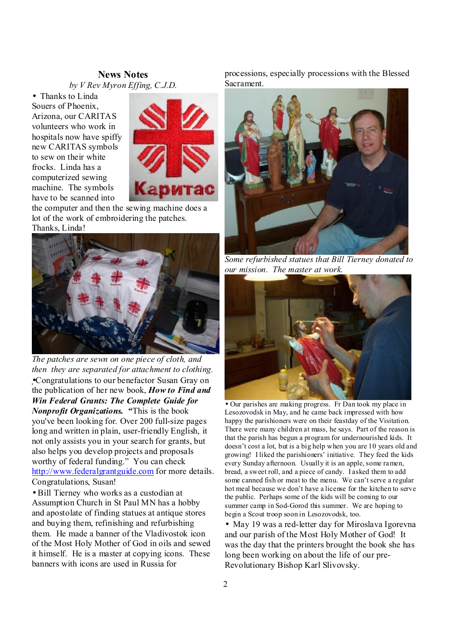#### **News Notes** *by V Rev Myron Effing, C.J.D.*

• Thanks to Linda Souers of Phoenix, Arizona, our CARITAS volunteers who work in hospitals now have spiffy new CARITAS symbols to sew on their white frocks. Linda has a computerized sewing machine. The symbols have to be scanned into



the computer and then the sewing machine does a lot of the work of embroidering the patches. Thanks, Linda!



*The patches are sewn on one piece of cloth, and then they are separated for attachment to clothing.* •Congratulations to our benefactor Susan Gray on the publication of her new book, *How to Find and Win Federal Grants: The Complete Guide for Nonprofit Organizations. "*This is the book you've been looking for. Over 200 full-size pages long and written in plain, user-friendly English, it not only assists you in your search for grants, but also helps you develop projects and proposals worthy of federal funding." You can check <http://www.federalgrantguide.com> for more details. Congratulations, Susan!

• Bill Tierney who works as a custodian at Assumption Church in St Paul MN has a hobby and apostolate of finding statues at antique stores and buying them, refinishing and refurbishing them. He made a banner of the Vladivostok icon of the Most Holy Mother of God in oils and sewed it himself. He is a master at copying icons. These banners with icons are used in Russia for

processions, especially processions with the Blessed Sacrament.



*Some refurbished statues that Bill Tierney donated to our mission. The master at work.* 



• Our parishes are making progress. Fr Dan took my place in Lesozovodsk in May, and he came back impressed with how happy the parishioners were on their feastday of the Visitation. There were many children at mass, he says. Part of the reason is that the parish has begun a program for undernourished kids. It doesn't cost a lot, but is a big help when you are 10 years old and growing! I liked the parishioners' initiative. They feed the kids every Sunday afternoon. Usually it is an apple, some ramen, bread, a sweet roll, and a piece of candy. I asked them to add some canned fish or meat to the menu. We can't serve a regular hot meal because we don't have a license for the kitchen to serve the public. Perhaps some of the kids will be coming to our summer camp in Sod-Gorod this summer. We are hoping to begin a Scout troop soon in Lesozovodsk, too.

• May 19 was a red-letter day for Miroslava Igorevna and our parish of the Most Holy Mother of God! It was the day that the printers brought the book she has long been working on about the life of our pre-Revolutionary Bishop Karl Slivovsky.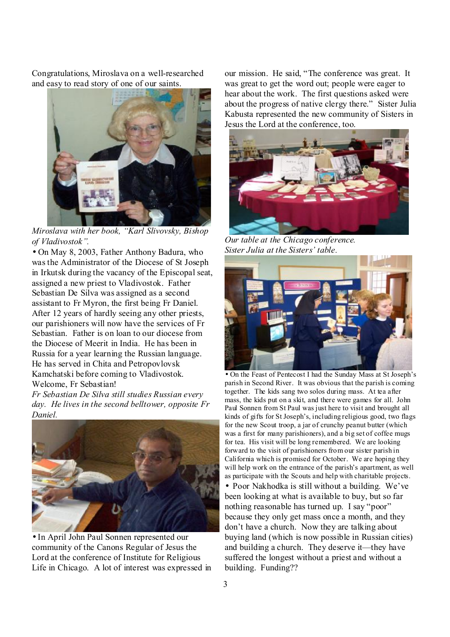Congratulations, Miroslava on a well-researched and easy to read story of one of our saints.



 *Miroslava with her book, "Karl Slivovsky, Bishop of Vladivostok".* 

• On May 8, 2003, Father Anthony Badura, who wasthe Administrator of the Diocese of St Joseph in Irkutsk during the vacancy of the Episcopal seat, assigned a new priest to Vladivostok. Father Sebastian De Silva was assigned as a second assistant to Fr Myron, the first being Fr Daniel. After 12 years of hardly seeing any other priests, our parishioners will now have the services of Fr Sebastian. Father is on loan to our diocese from the Diocese of Meerit in India. He has been in Russia for a year learning the Russian language. He has served in Chita and Petropovlovsk Kamchatski before coming to Vladivostok. Welcome, Fr Sebastian!

*Fr Sebastian De Silva still studies Russian every day. He lives in the second belltower, opposite Fr Daniel.*



• In April John Paul Sonnen represented our community of the Canons Regular of Jesus the Lord at the conference of Institute for Religious Life in Chicago. A lot of interest was expressed in

our mission. He said, "The conference was great. It was great to get the word out; people were eager to hear about the work. The first questions asked were about the progress of native clergy there." Sister Julia Kabusta represented the new community of Sisters in Jesus the Lord at the conference, too.



*Our table at the Chicago conference. Sister Julia at the Sisters' table.* 



• On the Feast of Pentecost I had the Sunday Mass at St Joseph's parish in Second River. It was obvious that the parish is coming together. The kids sang two solos during mass. At tea after mass, the kids put on a skit, and there were games for all. John Paul Sonnen from St Paul was just here to visit and brought all kinds of gifts for St Joseph's, including religious good, two flags for the new Scout troop, a jar of crunchy peanut butter (which was a first for many parishioners), and a big set of coffee mugs for tea. His visit will be long remembered. We are looking forward to the visit of parishioners from our sister parish in California which is promised for October. We are hoping they will help work on the entrance of the parish's apartment, as well as participate with the Scouts and help with charitable projects.

• Poor Nakhodka is still without a building. We've been looking at what is available to buy, but so far nothing reasonable has turned up. I say "poor" because they only get mass once a month, and they don't have a church. Now they are talking about buying land (which is now possible in Russian cities) and building a church. They deserve it—they have suffered the longest without a priest and without a building. Funding??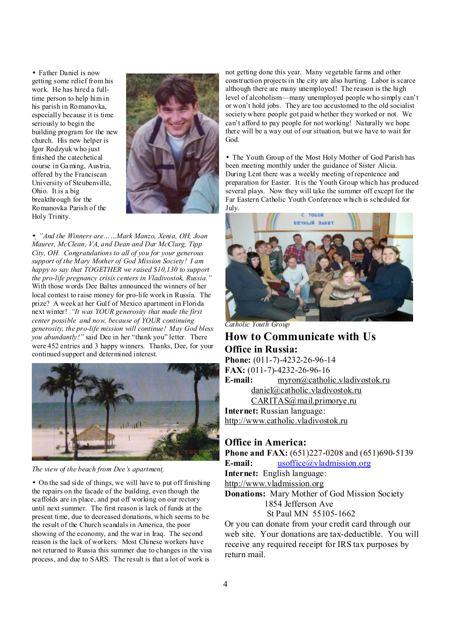• Father Daniel is now getting some relief from his work. He has hired a fulltime person to help him in his parish in Romanovka, especially because it is time seriously to begin the building program for the new church. His new helper is Igor Rodzyuk who just finished the catechetical course in Gaming, Austria, offered by the Franciscan University of Steubenville, Ohio. It is a big breakthrough for the Romanovka Parish of the Holy Trinity.



• *"And the Winners are……Mark Manzo, Xenia, OH, Joan Maurer, McClean, VA, and Dean and Dar McClurg, Tipp City, OH. Congratulations to all of you for your generous support of the Mary Mother of God Mission Society! I am happy to say that TOGETHER we raised \$10,130 to support the pro-life pregnancy crisis centers in Vladivostok, Russia."*  With those words Dee Baltes announced the winners of her local contest to raise money for pro-life work in Russia. The prize? A week at her Gulf of Mexico apartment in Florida next winter! *"It was YOUR generosity that made the first center possible and now, because of YOUR continuing generosity, the pro-life mission will continue! May God bless you abundantly!"* said Dee in her "thank you" letter. There were 452 entries and 3 happy winners. Thanks, Dee, for your continued support and determined interest.



*The view of the beach from Dee's apartment.*

• On the sad side of things, we will have to put off finishing the repairs on the facade of the building, even though the scaffolds are in place, and put off working on our rectory until next summer. The first reason is lack of funds at the present time, due to decreased donations, which seems to be the result of the Church scandals in America, the poor showing of the economy, and the war in Iraq. The second reason is the lack of workers. Most Chinese workers have not returned to Russia this summer due to changes in the visa process, and due to SARS. The result is that a lot of work is

not getting done this year. Many vegetable farms and other construction projects in the city are also hurting. Labor is scarce although there are many unemployed! The reason is the high level of alcoholism—many unemployed people who simply can't or won't hold jobs. They are too accustomed to the old socialist society where people got paid whether they worked or not. We can't afford to pay people for not working! Naturally we hope there will be a way out of our situation, but we have to wait for God.

• The Youth Group of the Most Holy Mother of God Parish has been meeting monthly under the guidance of Sister Alicia. During Lent there was a weekly meeting of repentence and preparation for Easter. It is the Youth Group which has produced several plays. Now they will take the summer off except for the Far Eastern Catholic Youth Conference which is scheduled for July.



*Catholic Youth Group* 

### **How to Communicate with Us Office in Russia: Phone:** (011-7)-4232-26-96-14 **FAX:** (011-7)-4232-26-96-16 **E-mail:** [myron@catholic.vladivostok.ru](mailto:myron@catholic.vladivostok.ru) [daniel@catholic.vladivostok.ru](mailto:daniel@catholic.vladivostok.ru) [CARITAS@mail.primorye.ru](mailto:CARITAS@mail.primorye.ru) **Internet:** Russian language: <http://www.catholic.vladivostok.ru>

#### **Office in America:**

**Phone and FAX:** (651)227-0208 and (651)690-5139 **E-mail:** [usoffice@vladmission.org](mailto:usoffice@vladmission.org) **Internet:** English language: <http://www.vladmission.org> **Donations:** Mary Mother of God Mission Society 1854 Jefferson Ave St Paul MN 55105-1662 Or you can donate from your credit card through our

web site. Your donations are tax-deductible. You will receive any required receipt for IRS tax purposes by return mail.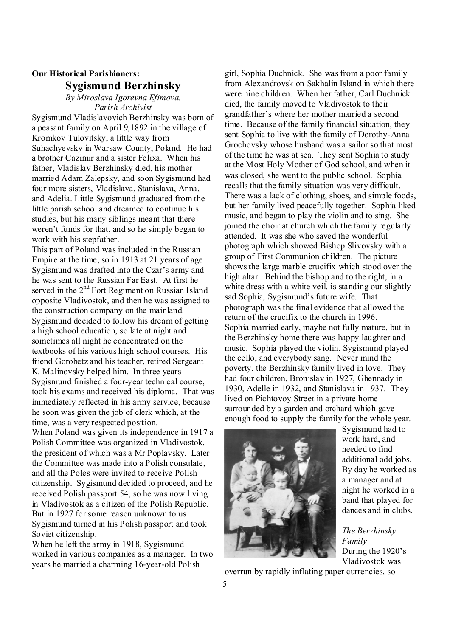## **Our Historical Parishioners: Sygismund Berzhinsky**

*By Miroslava Igorevna Efimova, Parish Archivist* 

Sygismund Vladislavovich Berzhinsky was born of a peasant family on April 9,1892 in the village of Kromkov Tulovitsky, a little way from Suhachyevsky in Warsaw County, Poland. He had a brother Cazimir and a sister Felixa. When his father, Vladislav Berzhinsky died, his mother married Adam Zalepsky, and soon Sygismund had four more sisters, Vladislava, Stanislava, Anna, and Adelia. Little Sygismund graduated from the little parish school and dreamed to continue his studies, but his many siblings meant that there weren't funds for that, and so he simply began to work with his stepfather.

This part of Poland was included in the Russian Empire at the time, so in 1913 at 21 years of age Sygismund was drafted into the Czar's army and he was sent to the Russian Far East. At first he served in the  $2<sup>nd</sup>$  Fort Regiment on Russian Island opposite Vladivostok, and then he was assigned to the construction company on the mainland. Sygismund decided to follow his dream of getting a high school education, so late at night and sometimes all night he concentrated on the textbooks of his various high school courses. His friend Gorobetz and histeacher, retired Sergeant K. Malinovsky helped him. In three years Sygismund finished a four-year technical course, took his exams and received his diploma. That was immediately reflected in his army service, because he soon was given the job of clerk which, at the time, was a very respected position. When Poland was given its independence in 1917 a Polish Committee was organized in Vladivostok, the president of which was a Mr Poplavsky. Later the Committee was made into a Polish consulate, and all the Poles were invited to receive Polish citizenship. Sygismund decided to proceed, and he received Polish passport 54, so he was now living

in Vladivostok as a citizen of the Polish Republic. But in 1927 for some reason unknown to us Sygismund turned in his Polish passport and took Soviet citizenship.

When he left the army in 1918, Sygismund worked in various companies as a manager. In two years he married a charming 16-year-old Polish

girl, Sophia Duchnick. She wasfrom a poor family from Alexandrovsk on Sakhalin Island in which there were nine children. When her father, Carl Duchnick died, the family moved to Vladivostok to their grandfather's where her mother married a second time. Because of the family financial situation, they sent Sophia to live with the family of Dorothy-Anna Grochovsky whose husband was a sailor so that most of the time he was at sea. They sent Sophia to study at the Most Holy Mother of God school, and when it was closed, she went to the public school. Sophia recalls that the family situation was very difficult. There was a lack of clothing, shoes, and simple foods, but her family lived peacefully together. Sophia liked music, and began to play the violin and to sing. She joined the choir at church which the family regularly attended. It was she who saved the wonderful photograph which showed Bishop Slivovsky with a group of First Communion children. The picture showsthe large marble crucifix which stood over the high altar. Behind the bishop and to the right, in a white dress with a white veil, is standing our slightly sad Sophia, Sygismund's future wife. That photograph was the final evidence that allowed the return of the crucifix to the church in 1996. Sophia married early, maybe not fully mature, but in the Berzhinsky home there was happy laughter and music. Sophia played the violin, Sygismund played the cello, and everybody sang. Never mind the poverty, the Berzhinsky family lived in love. They had four children, Bronislav in 1927, Ghennady in 1930, Adelle in 1932, and Stanislava in 1937. They lived on Pichtovoy Street in a private home surrounded by a garden and orchard which gave enough food to supply the family for the whole year.



Sygismund had to work hard, and needed to find additional odd jobs. By day he worked as a manager and at night he worked in a band that played for dances and in clubs.

*The Berzhinsky Family*  During the 1920's Vladivostok was

overrun by rapidly inflating paper currencies, so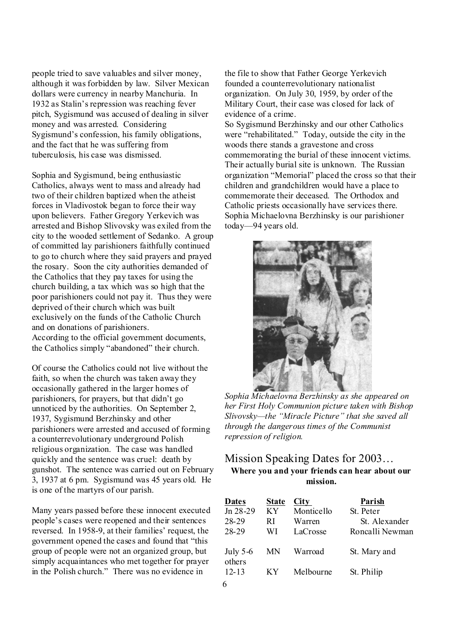people tried to save valuables and silver money, although it wasforbidden by law. Silver Mexican dollars were currency in nearby Manchuria. In 1932 as Stalin's repression was reaching fever pitch, Sygismund was accused of dealing in silver money and was arrested. Considering Sygismund's confession, his family obligations, and the fact that he was suffering from tuberculosis, his case was dismissed.

Sophia and Sygismund, being enthusiastic Catholics, always went to mass and already had two of their children baptized when the atheist forces in Vladivostok began to force their way upon believers. Father Gregory Yerkevich was arrested and Bishop Slivovsky was exiled from the city to the wooded settlement of Sedanko. A group of committed lay parishioners faithfully continued to go to church where they said prayers and prayed the rosary. Soon the city authorities demanded of the Catholics that they pay taxes for using the church building, a tax which was so high that the poor parishioners could not pay it. Thus they were deprived of their church which was built exclusively on the funds of the Catholic Church and on donations of parishioners. According to the official government documents, the Catholics simply "abandoned" their church.

Of course the Catholics could not live without the faith, so when the church was taken away they occasionally gathered in the larger homes of parishioners, for prayers, but that didn't go unnoticed by the authorities. On September 2, 1937, Sygismund Berzhinsky and other parishioners were arrested and accused of forming a counterrevolutionary underground Polish religious organization. The case was handled quickly and the sentence was cruel: death by gunshot. The sentence was carried out on February 3, 1937 at 6 pm. Sygismund was 45 years old. He is one of the martyrs of our parish.

Many years passed before these innocent executed people's cases were reopened and their sentences reversed. In 1958-9, at their families' request, the government opened the cases and found that "this group of people were not an organized group, but simply acquaintances who met together for prayer in the Polish church." There was no evidence in

the file to show that Father George Yerkevich founded a counterrevolutionary nationalist organization. On July 30, 1959, by order of the Military Court, their case was closed for lack of evidence of a crime.

So Sygismund Berzhinsky and our other Catholics were "rehabilitated." Today, outside the city in the woods there stands a gravestone and cross commemorating the burial of these innocent victims. Their actually burial site is unknown. The Russian organization "Memorial" placed the cross so that their children and grandchildren would have a place to commemorate their deceased. The Orthodox and Catholic priests occasionally have services there. Sophia Michaelovna Berzhinsky is our parishioner today—94 years old.



*Sophia Michaelovna Berzhinsky as she appeared on her First Holy Communion picture taken with Bishop Slivovsky—the "Miracle Picture" that she saved all through the dangerous times of the Communist repression of religion.* 

## Mission Speaking Dates for 2003… **Where you and your friends can hear about our mission.**

| <b>Dates</b>         | <b>State</b> | City       | Parish          |
|----------------------|--------------|------------|-----------------|
| Jn 28-29             | KY           | Monticello | St. Peter       |
| 28-29                | R I          | Warren     | St. Alexander   |
| 28-29                | WI           | LaCrosse   | Roncalli Newman |
| July $5-6$<br>others | MN           | Warroad    | St. Mary and    |
| $12 - 13$            | КY           | Melbourne  | St. Philip      |
| C                    |              |            |                 |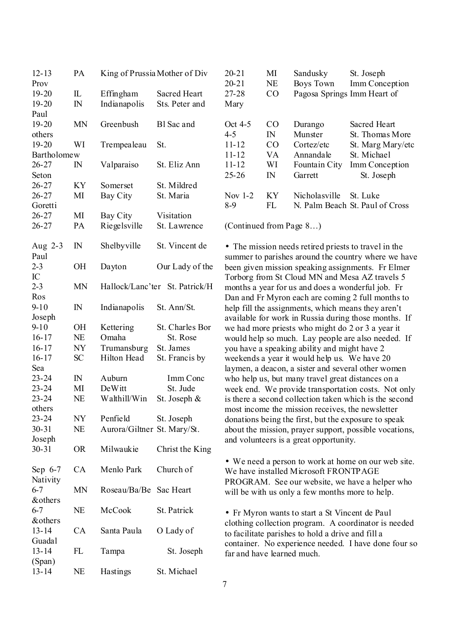| $12 - 13$   | PA           | King of Prussia Mother of Div |                                |
|-------------|--------------|-------------------------------|--------------------------------|
| Prov        |              |                               |                                |
| 19-20       | IL           | Effingham                     | <b>Sacred Heart</b>            |
| $19 - 20$   | $\mathbb{N}$ | Indianapolis                  | Sts. Peter and                 |
| Paul        |              |                               |                                |
| $19 - 20$   | <b>MN</b>    | Greenbush                     | Bl Sac and                     |
| others      |              |                               |                                |
| $19 - 20$   | WI           | Trempealeau                   | St.                            |
| Bartholomew |              |                               |                                |
| 26-27       | $_{\rm IN}$  | Valparaiso                    | St. Eliz Ann                   |
| Seton       |              |                               |                                |
| $26 - 27$   | KY           | Somerset                      | St. Mildred                    |
| $26 - 27$   | MI           | Bay City                      | St. Maria                      |
| Goretti     |              |                               |                                |
|             |              |                               |                                |
| $26 - 27$   | MI           | <b>Bay City</b>               | Visitation                     |
| $26 - 27$   | PA           | Riegelsville                  | St. Lawrence                   |
| Aug 2-3     | $\mathbb{N}$ | Shelbyville                   | St. Vincent de                 |
| Paul        |              |                               |                                |
| $2 - 3$     | <b>OH</b>    | Dayton                        | Our Lady of the                |
| IC          |              |                               |                                |
| $2 - 3$     | <b>MN</b>    |                               | Hallock/Lanc'ter St. Patrick/H |
| Ros         |              |                               |                                |
|             |              |                               |                                |
| $9 - 10$    | $\mathbb{N}$ | Indianapolis                  | St. Ann/St.                    |
| Joseph      |              |                               |                                |
| $9 - 10$    | OН           | Kettering                     | St. Charles Bor                |
| $16 - 17$   | NE           | Omaha                         | St. Rose                       |
| $16 - 17$   | NY           | Trumansburg                   | St. James                      |
| $16 - 17$   | <b>SC</b>    | Hilton Head                   | St. Francis by                 |
| Sea         |              |                               |                                |
| 23-24       | $\mathbb{N}$ | Auburn                        | Imm Conc                       |
| $23 - 24$   | MI           | DeWitt                        | St. Jude                       |
| $23 - 24$   | NE           | Walthill/Win                  | St. Joseph $\&$                |
| others      |              |                               |                                |
| 23-24       | NY           | Penfield                      | St. Joseph                     |
| $30 - 31$   | NE           | Aurora/Giltner St. Mary/St.   |                                |
| Joseph      |              |                               |                                |
| $30 - 31$   | <b>OR</b>    | Milwaukie                     | Christ the King                |
|             |              |                               |                                |
| Sep 6-7     | CA           | Menlo Park                    | Church of                      |
| Nativity    |              |                               |                                |
| $6 - 7$     | MN           | Roseau/Ba/Be                  | Sac Heart                      |
| & others    |              |                               |                                |
| $6 - 7$     | <b>NE</b>    | McCook                        | St. Patrick                    |
| &others     |              |                               |                                |
| $13 - 14$   | CA           | Santa Paula                   | O Lady of                      |
| Guadal      |              |                               |                                |
| $13 - 14$   | FL           | Tampa                         | St. Joseph                     |
| (Span)      |              |                               |                                |
| $13 - 14$   | NE           | Hastings                      | St. Michael                    |
|             |              |                               |                                |

| $20 - 21$ | MI             | Sandusky                    | St. Joseph                      |
|-----------|----------------|-----------------------------|---------------------------------|
| $20 - 21$ | <b>NE</b>      | Boys Town                   | Imm Conception                  |
| 27-28     | CO             | Pagosa Springs Imm Heart of |                                 |
| Mary      |                |                             |                                 |
| Oct 4-5   | C <sub>O</sub> | Durango                     | Sacred Heart                    |
| $4 - 5$   | IN             | Munster                     | St. Thomas More                 |
| $11 - 12$ | CO             | Cortez/etc                  | St. Marg Mary/etc               |
| $11 - 12$ | VA             | Annandale                   | St. Michael                     |
| $11 - 12$ | WI             | Fountain City               | Imm Conception                  |
| $25 - 26$ | IN             | Garrett                     | St. Joseph                      |
| Nov $1-2$ | KY             | Nicholasville               | St. Luke                        |
| 8-9       | FL.            |                             | N. Palm Beach St. Paul of Cross |
|           |                |                             |                                 |

(Continued from Page 8…)

• The mission needs retired priests to travel in the summer to parishes around the country where we have been given mission speaking assignments. Fr Elmer Torborg from St Cloud MN and Mesa AZ travels 5 months a year for us and does a wonderful job. Fr Dan and Fr Myron each are coming 2 full months to help fill the assignments, which means they aren't available for work in Russia during those months. If we had more priests who might do 2 or 3 a year it would help so much. Lay people are also needed. If you have a speaking ability and might have 2 weekends a year it would help us. We have 20 laymen, a deacon, a sister and several other women who help us, but many travel great distances on a week end. We provide transportation costs. Not only is there a second collection taken which is the second most income the mission receives, the newsletter donations being the first, but the exposure to speak about the mission, prayer support, possible vocations, and volunteers is a great opportunity.

• We need a person to work at home on our web site. We have installed Microsoft FRONTPAGE PROGRAM. See our website, we have a helper who will be with us only a few months more to help.

• Fr Myron wants to start a St Vincent de Paul clothing collection program. A coordinator is needed to facilitate parishes to hold a drive and fill a container. No experience needed. I have done four so far and have learned much.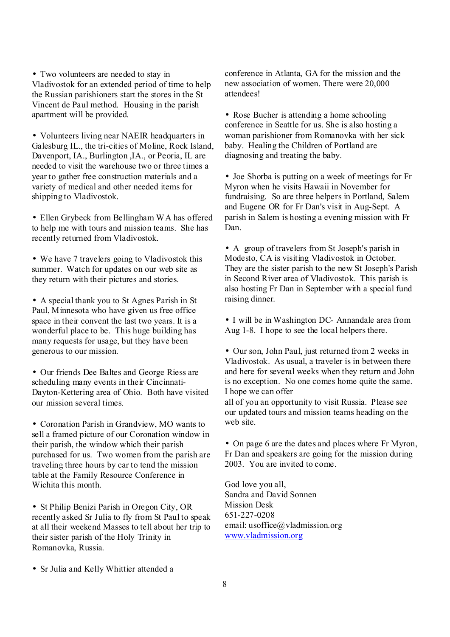• Two volunteers are needed to stay in Vladivostok for an extended period of time to help the Russian parishioners start the stores in the St Vincent de Paul method. Housing in the parish apartment will be provided.

• Volunteers living near NAEIR headquarters in Galesburg IL., the tri-cities of Moline, Rock Island, Davenport, IA., Burlington ,IA., or Peoria, IL are needed to visit the warehouse two or three times a year to gather free construction materials and a variety of medical and other needed items for shipping to Vladivostok.

• Ellen Grybeck from Bellingham WA has offered to help me with tours and mission teams. She has recently returned from Vladivostok.

• We have 7 travelers going to Vladivostok this summer. Watch for updates on our web site as they return with their pictures and stories.

• A special thank you to St Agnes Parish in St Paul, Minnesota who have given us free office space in their convent the last two years. It is a wonderful place to be. This huge building has many requests for usage, but they have been generous to our mission.

• Our friends Dee Baltes and George Riess are scheduling many events in their Cincinnati-Dayton-Kettering area of Ohio. Both have visited our mission several times.

• Coronation Parish in Grandview, MO wants to sell a framed picture of our Coronation window in their parish, the window which their parish purchased for us. Two women from the parish are traveling three hours by car to tend the mission table at the Family Resource Conference in Wichita this month.

• St Philip Benizi Parish in Oregon City, OR recently asked Sr Julia to fly from St Paul to speak at all their weekend Masses to tell about her trip to their sister parish of the Holy Trinity in Romanovka, Russia.

conference in Atlanta, GA for the mission and the new association of women. There were 20,000 attendees!

• Rose Bucher is attending a home schooling conference in Seattle for us. She is also hosting a woman parishioner from Romanovka with her sick baby. Healing the Children of Portland are diagnosing and treating the baby.

• Joe Shorba is putting on a week of meetings for Fr Myron when he visits Hawaii in November for fundraising. So are three helpers in Portland, Salem and Eugene OR for Fr Dan's visit in Aug-Sept. A parish in Salem is hosting a evening mission with Fr Dan.

• A group of travelers from St Joseph's parish in Modesto, CA is visiting Vladivostok in October. They are the sister parish to the new St Joseph's Parish in Second River area of Vladivostok. This parish is also hosting Fr Dan in September with a special fund raising dinner.

• I will be in Washington DC- Annandale area from Aug 1-8. I hope to see the local helpers there.

• Our son, John Paul, just returned from 2 weeks in Vladivostok. As usual, a traveler is in between there and here for several weeks when they return and John is no exception. No one comes home quite the same. I hope we can offer

all of you an opportunity to visit Russia. Please see our updated tours and mission teams heading on the web site.

• On page 6 are the dates and places where Fr Myron, Fr Dan and speakers are going for the mission during 2003. You are invited to come.

God love you all, Sandra and David Sonnen Mission Desk 651-227-0208 email: [usoffice@vladmission.org](mailto:usoffice@vladmission.org) [www.vladmission.org](http://www.vladmission.org)

• Sr Julia and Kelly Whittier attended a